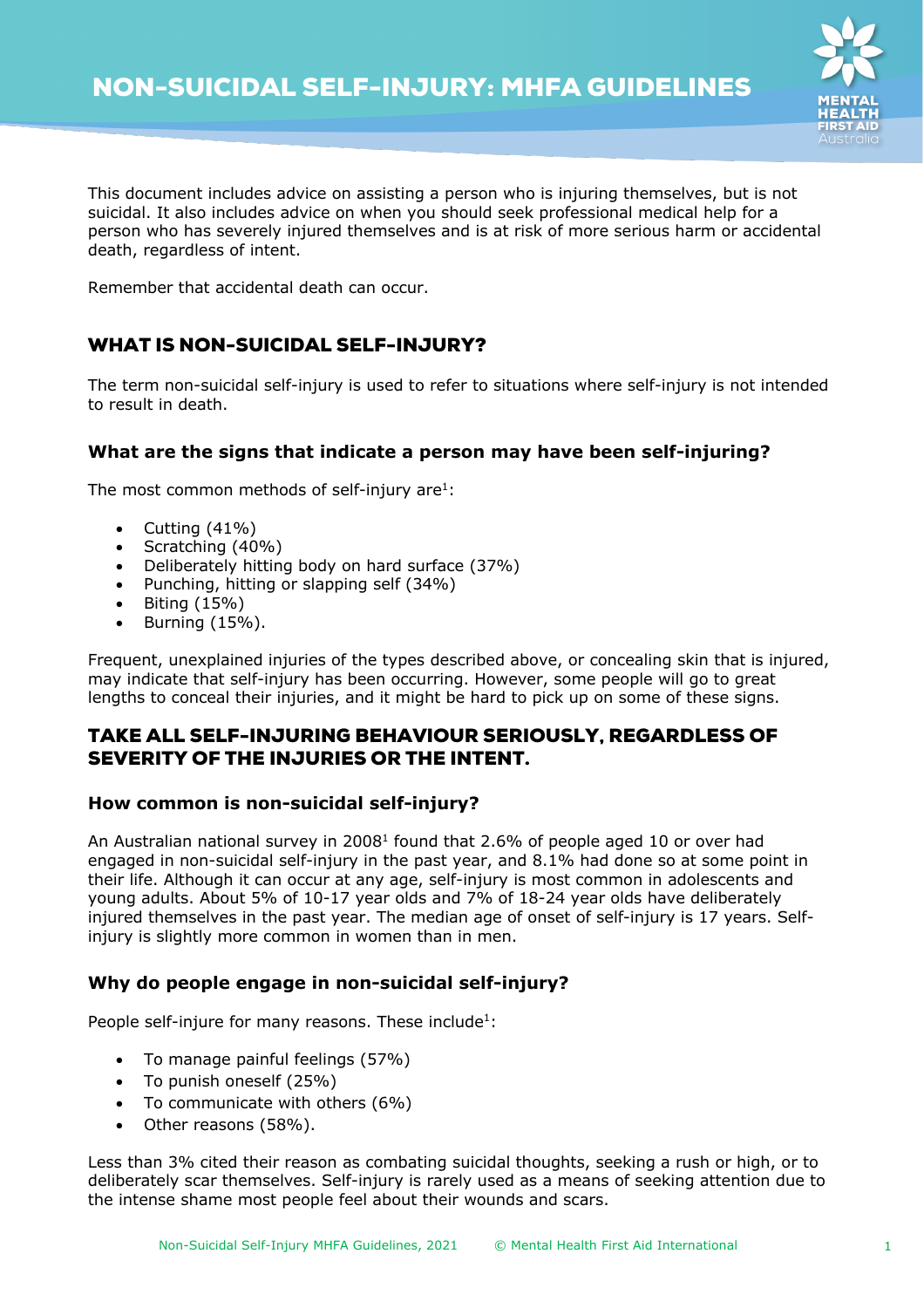

This document includes advice on assisting a person who is injuring themselves, but is not suicidal. It also includes advice on when you should seek professional medical help for a person who has severely injured themselves and is at risk of more serious harm or accidental death, regardless of intent.

Remember that accidental death can occur.

# WHAT IS NON-SUICIDAL SELF-INJURY?

The term non-suicidal self-injury is used to refer to situations where self-injury is not intended to result in death.

### **What are the signs that indicate a person may have been self-injuring?**

The most common methods of self-injury are<sup>1</sup>:

- $\bullet$  Cutting  $(41\%)$
- Scratching (40%)
- Deliberately hitting body on hard surface (37%)
- Punching, hitting or slapping self (34%)
- Biting (15%)
- $\bullet$  Burning  $(15\%)$ .

Frequent, unexplained injuries of the types described above, or concealing skin that is injured, may indicate that self-injury has been occurring. However, some people will go to great lengths to conceal their injuries, and it might be hard to pick up on some of these signs.

## TAKE ALL SELF-INJURING BEHAVIOUR SERIOUSLY, REGARDLESS OF SEVERITY OF THE INJURIES OR THE INTENT.

### **How common is non-suicidal self-injury?**

An Australian national survey in  $2008<sup>1</sup>$  found that 2.6% of people aged 10 or over had engaged in non-suicidal self-injury in the past year, and 8.1% had done so at some point in their life. Although it can occur at any age, self-injury is most common in adolescents and young adults. About 5% of 10-17 year olds and 7% of 18-24 year olds have deliberately injured themselves in the past year. The median age of onset of self-injury is 17 years. Selfinjury is slightly more common in women than in men.

### **Why do people engage in non-suicidal self-injury?**

People self-injure for many reasons. These include<sup>1</sup>:

- To manage painful feelings (57%)
- To punish oneself (25%)
- To communicate with others (6%)
- Other reasons (58%).

Less than 3% cited their reason as combating suicidal thoughts, seeking a rush or high, or to deliberately scar themselves. Self-injury is rarely used as a means of seeking attention due to the intense shame most people feel about their wounds and scars.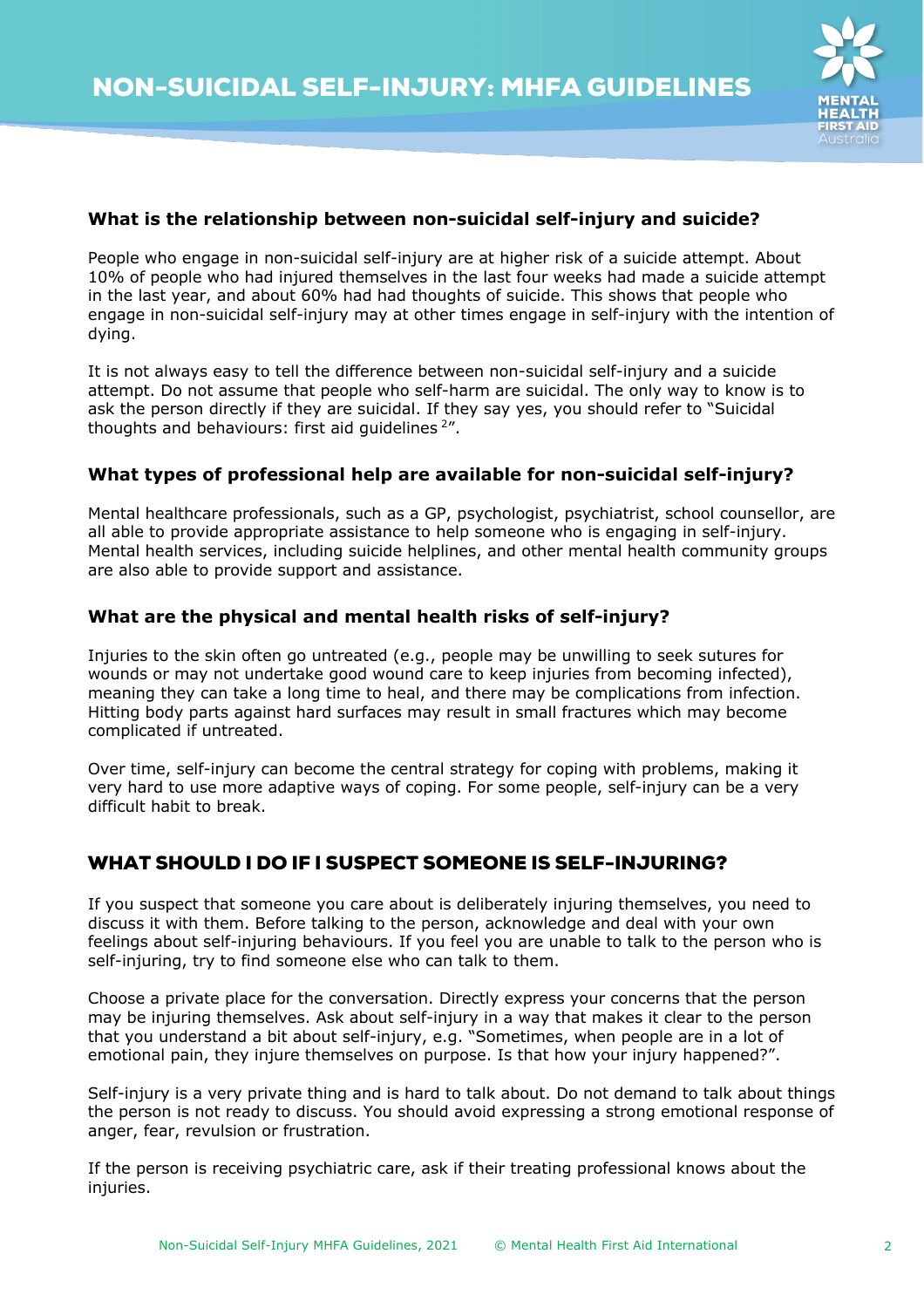

## **What is the relationship between non-suicidal self-injury and suicide?**

People who engage in non-suicidal self-injury are at higher risk of a suicide attempt. About 10% of people who had injured themselves in the last four weeks had made a suicide attempt in the last year, and about 60% had had thoughts of suicide. This shows that people who engage in non-suicidal self-injury may at other times engage in self-injury with the intention of dying.

It is not always easy to tell the difference between non-suicidal self-injury and a suicide attempt. Do not assume that people who self-harm are suicidal. The only way to know is to ask the person directly if they are suicidal. If they say yes, you should refer to "Suicidal thoughts and behaviours: first aid quidelines  $2$ ".

## **What types of professional help are available for non-suicidal self-injury?**

Mental healthcare professionals, such as a GP, psychologist, psychiatrist, school counsellor, are all able to provide appropriate assistance to help someone who is engaging in self-injury. Mental health services, including suicide helplines, and other mental health community groups are also able to provide support and assistance.

### **What are the physical and mental health risks of self-injury?**

Injuries to the skin often go untreated (e.g., people may be unwilling to seek sutures for wounds or may not undertake good wound care to keep injuries from becoming infected), meaning they can take a long time to heal, and there may be complications from infection. Hitting body parts against hard surfaces may result in small fractures which may become complicated if untreated.

Over time, self-injury can become the central strategy for coping with problems, making it very hard to use more adaptive ways of coping. For some people, self-injury can be a very difficult habit to break.

# WHAT SHOULD I DO IF I SUSPECT SOMEONE IS SELF-INJURING?

If you suspect that someone you care about is deliberately injuring themselves, you need to discuss it with them. Before talking to the person, acknowledge and deal with your own feelings about self-injuring behaviours. If you feel you are unable to talk to the person who is self-injuring, try to find someone else who can talk to them.

Choose a private place for the conversation. Directly express your concerns that the person may be injuring themselves. Ask about self-injury in a way that makes it clear to the person that you understand a bit about self-injury, e.g. "Sometimes, when people are in a lot of emotional pain, they injure themselves on purpose. Is that how your injury happened?".

Self-injury is a very private thing and is hard to talk about. Do not demand to talk about things the person is not ready to discuss. You should avoid expressing a strong emotional response of anger, fear, revulsion or frustration.

If the person is receiving psychiatric care, ask if their treating professional knows about the injuries.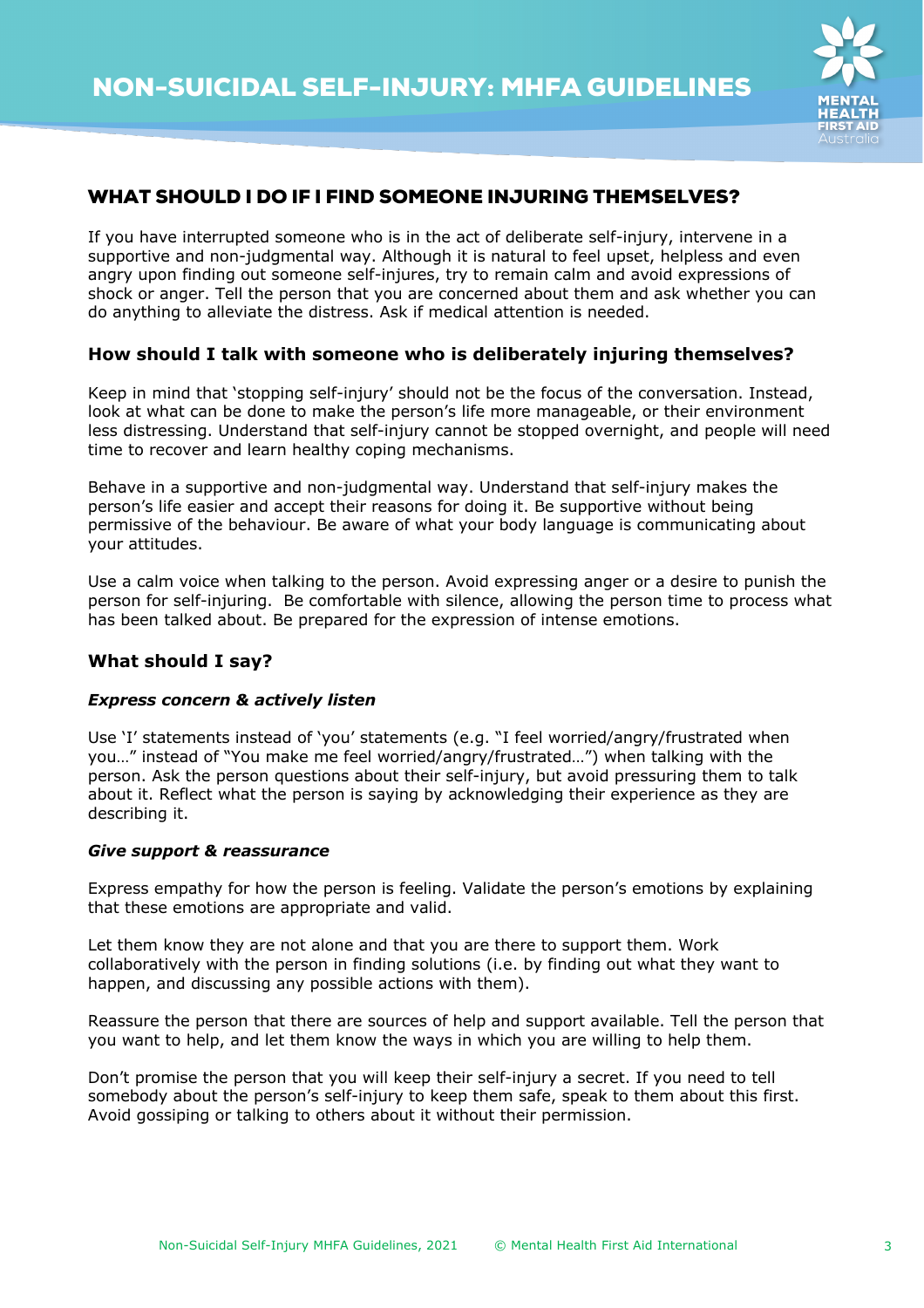

# WHAT SHOULD I DO IF I FIND SOMEONE INJURING THEMSELVES?

If you have interrupted someone who is in the act of deliberate self-injury, intervene in a supportive and non-judgmental way. Although it is natural to feel upset, helpless and even angry upon finding out someone self-injures, try to remain calm and avoid expressions of shock or anger. Tell the person that you are concerned about them and ask whether you can do anything to alleviate the distress. Ask if medical attention is needed.

## **How should I talk with someone who is deliberately injuring themselves?**

Keep in mind that 'stopping self-injury' should not be the focus of the conversation. Instead, look at what can be done to make the person's life more manageable, or their environment less distressing. Understand that self-injury cannot be stopped overnight, and people will need time to recover and learn healthy coping mechanisms.

Behave in a supportive and non-judgmental way. Understand that self-injury makes the person's life easier and accept their reasons for doing it. Be supportive without being permissive of the behaviour. Be aware of what your body language is communicating about your attitudes.

Use a calm voice when talking to the person. Avoid expressing anger or a desire to punish the person for self-injuring. Be comfortable with silence, allowing the person time to process what has been talked about. Be prepared for the expression of intense emotions.

## **What should I say?**

### *Express concern & actively listen*

Use 'I' statements instead of 'you' statements (e.g. "I feel worried/angry/frustrated when you…" instead of "You make me feel worried/angry/frustrated…") when talking with the person. Ask the person questions about their self-injury, but avoid pressuring them to talk about it. Reflect what the person is saying by acknowledging their experience as they are describing it.

#### *Give support & reassurance*

Express empathy for how the person is feeling. Validate the person's emotions by explaining that these emotions are appropriate and valid.

Let them know they are not alone and that you are there to support them. Work collaboratively with the person in finding solutions (i.e. by finding out what they want to happen, and discussing any possible actions with them).

Reassure the person that there are sources of help and support available. Tell the person that you want to help, and let them know the ways in which you are willing to help them.

Don't promise the person that you will keep their self-injury a secret. If you need to tell somebody about the person's self-injury to keep them safe, speak to them about this first. Avoid gossiping or talking to others about it without their permission.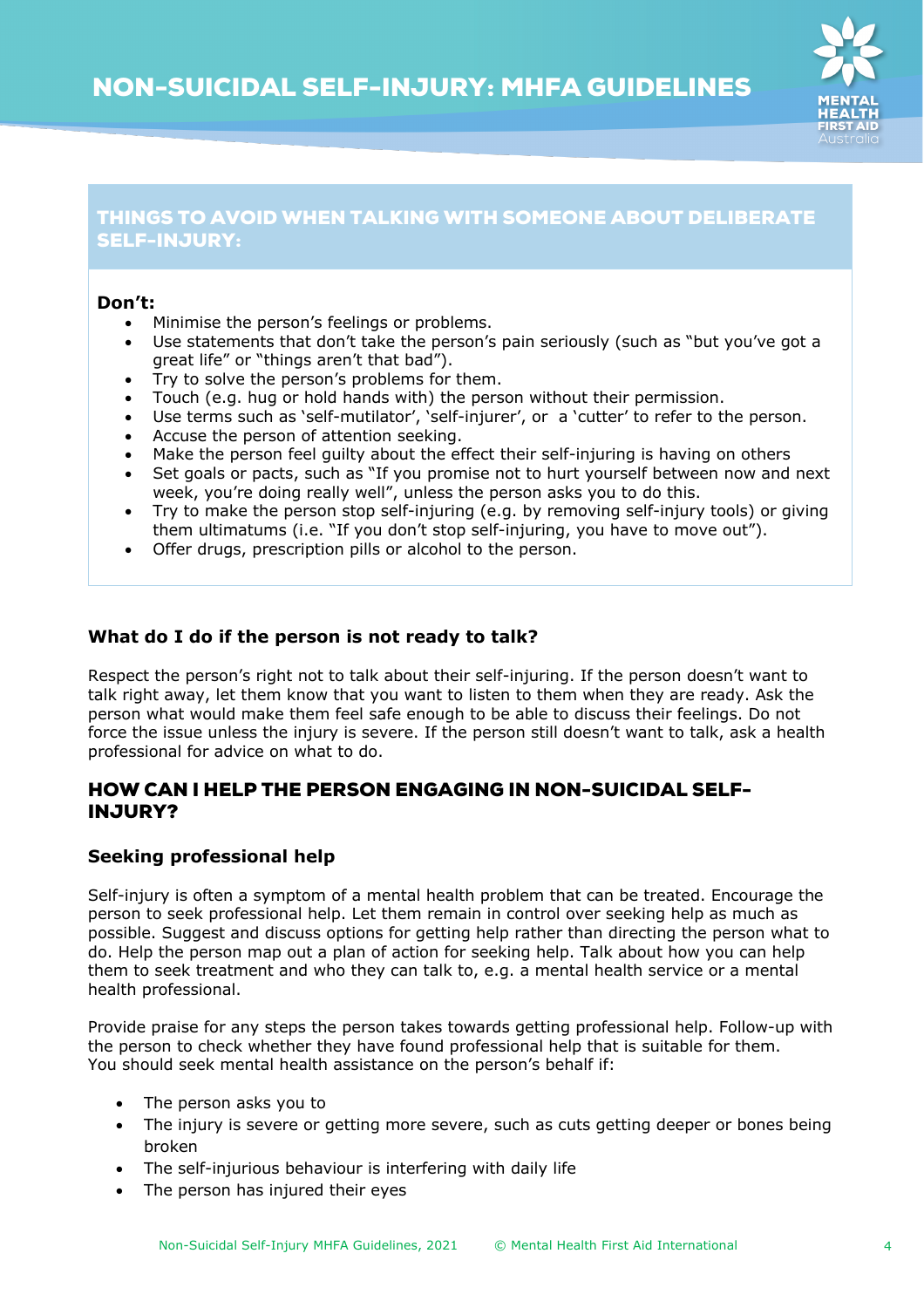

# THINGS TO AVOID WHEN TALKING WITH SOMEONE ABOUT DELIBERATE SELF-INJURY:

### **Don't:**

- Minimise the person's feelings or problems.
- Use statements that don't take the person's pain seriously (such as "but you've got a great life" or "things aren't that bad").
- Try to solve the person's problems for them.
- Touch (e.g. hug or hold hands with) the person without their permission.
- Use terms such as 'self-mutilator', 'self-injurer', or a 'cutter' to refer to the person.
- Accuse the person of attention seeking.
- Make the person feel quilty about the effect their self-injuring is having on others
- Set goals or pacts, such as "If you promise not to hurt yourself between now and next week, you're doing really well", unless the person asks you to do this.
- Try to make the person stop self-injuring (e.g. by removing self-injury tools) or giving them ultimatums (i.e. "If you don't stop self-injuring, you have to move out").
- Offer drugs, prescription pills or alcohol to the person.

## **What do I do if the person is not ready to talk?**

Respect the person's right not to talk about their self-injuring. If the person doesn't want to talk right away, let them know that you want to listen to them when they are ready. Ask the person what would make them feel safe enough to be able to discuss their feelings. Do not force the issue unless the injury is severe. If the person still doesn't want to talk, ask a health professional for advice on what to do.

## HOW CAN I HELP THE PERSON ENGAGING IN NON-SUICIDAL SELF-INJURY?

## **Seeking professional help**

Self-injury is often a symptom of a mental health problem that can be treated. Encourage the person to seek professional help. Let them remain in control over seeking help as much as possible. Suggest and discuss options for getting help rather than directing the person what to do. Help the person map out a plan of action for seeking help. Talk about how you can help them to seek treatment and who they can talk to, e.g. a mental health service or a mental health professional.

Provide praise for any steps the person takes towards getting professional help. Follow-up with the person to check whether they have found professional help that is suitable for them. You should seek mental health assistance on the person's behalf if:

- The person asks you to
- The injury is severe or getting more severe, such as cuts getting deeper or bones being broken
- The self-injurious behaviour is interfering with daily life
- The person has injured their eyes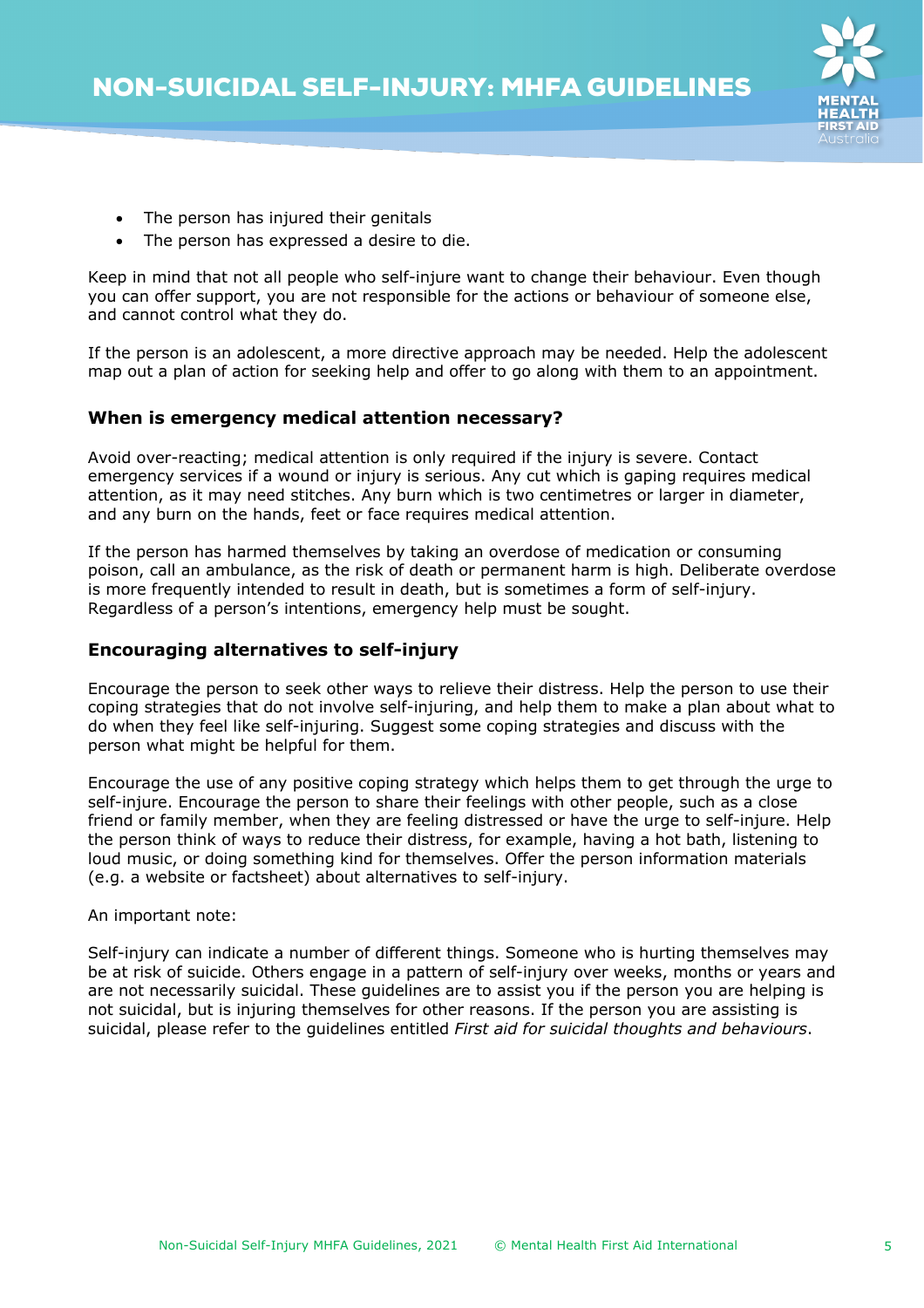

- The person has injured their genitals
- The person has expressed a desire to die.

Keep in mind that not all people who self-injure want to change their behaviour. Even though you can offer support, you are not responsible for the actions or behaviour of someone else, and cannot control what they do.

If the person is an adolescent, a more directive approach may be needed. Help the adolescent map out a plan of action for seeking help and offer to go along with them to an appointment.

### **When is emergency medical attention necessary?**

Avoid over-reacting; medical attention is only required if the injury is severe. Contact emergency services if a wound or injury is serious. Any cut which is gaping requires medical attention, as it may need stitches. Any burn which is two centimetres or larger in diameter, and any burn on the hands, feet or face requires medical attention.

If the person has harmed themselves by taking an overdose of medication or consuming poison, call an ambulance, as the risk of death or permanent harm is high. Deliberate overdose is more frequently intended to result in death, but is sometimes a form of self-injury. Regardless of a person's intentions, emergency help must be sought.

#### **Encouraging alternatives to self-injury**

Encourage the person to seek other ways to relieve their distress. Help the person to use their coping strategies that do not involve self-injuring, and help them to make a plan about what to do when they feel like self-injuring. Suggest some coping strategies and discuss with the person what might be helpful for them.

Encourage the use of any positive coping strategy which helps them to get through the urge to self-injure. Encourage the person to share their feelings with other people, such as a close friend or family member, when they are feeling distressed or have the urge to self-injure. Help the person think of ways to reduce their distress, for example, having a hot bath, listening to loud music, or doing something kind for themselves. Offer the person information materials (e.g. a website or factsheet) about alternatives to self-injury.

#### An important note:

Self-injury can indicate a number of different things. Someone who is hurting themselves may be at risk of suicide. Others engage in a pattern of self-injury over weeks, months or years and are not necessarily suicidal. These guidelines are to assist you if the person you are helping is not suicidal, but is injuring themselves for other reasons. If the person you are assisting is suicidal, please refer to the guidelines entitled *First aid for suicidal thoughts and behaviours*.